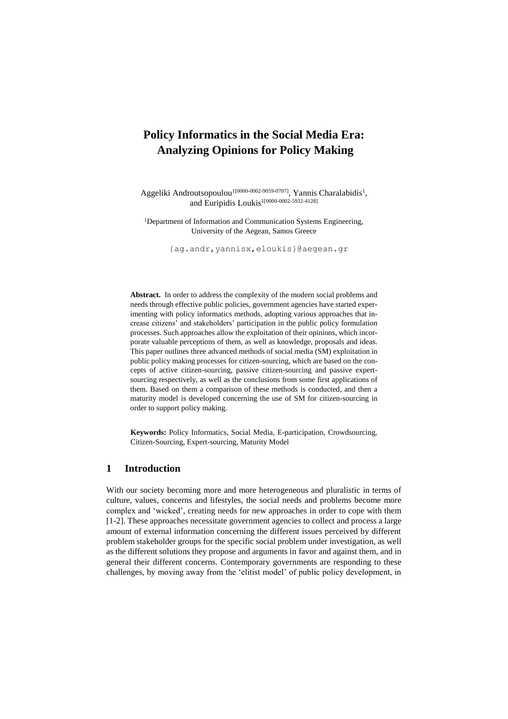# **Policy Informatics in the Social Media Era: Analyzing Opinions for Policy Making**

Aggeliki Androutsopoulou<sup>1[0000-0002-9059-0707]</sup>, Yannis Charalabidis<sup>1</sup>, and Euripidis Loukis<sup>1[\[0000-0002-5932-4128\]](http://orcid.org/0000-0002-5932-4128)</sup>

<sup>1</sup>Department of Information and Communication Systems Engineering, University of the Aegean, Samos Greece

{ag.andr,yannisx,eloukis}@aegean.gr

**Abstract.** In order to address the complexity of the modern social problems and needs through effective public policies, government agencies have started experimenting with policy informatics methods, adopting various approaches that increase citizens' and stakeholders' participation in the public policy formulation processes. Such approaches allow the exploitation of their opinions, which incorporate valuable perceptions of them, as well as knowledge, proposals and ideas. This paper outlines three advanced methods of social media (SM) exploitation in public policy making processes for citizen-sourcing, which are based on the concepts of active citizen-sourcing, passive citizen-sourcing and passive expertsourcing respectively, as well as the conclusions from some first applications of them. Based on them a comparison of these methods is conducted, and then a maturity model is developed concerning the use of SM for citizen-sourcing in order to support policy making.

**Keywords:** Policy Informatics, Social Media, E-participation, Crowdsourcing, Citizen-Sourcing, Expert-sourcing, Maturity Model

#### **1 Introduction**

With our society becoming more and more heterogeneous and pluralistic in terms of culture, values, concerns and lifestyles, the social needs and problems become more complex and 'wicked', creating needs for new approaches in order to cope with them [1-2]. These approaches necessitate government agencies to collect and process a large amount of external information concerning the different issues perceived by different problem stakeholder groups for the specific social problem under investigation, as well as the different solutions they propose and arguments in favor and against them, and in general their different concerns. Contemporary governments are responding to these challenges, by moving away from the 'elitist model' of public policy development, in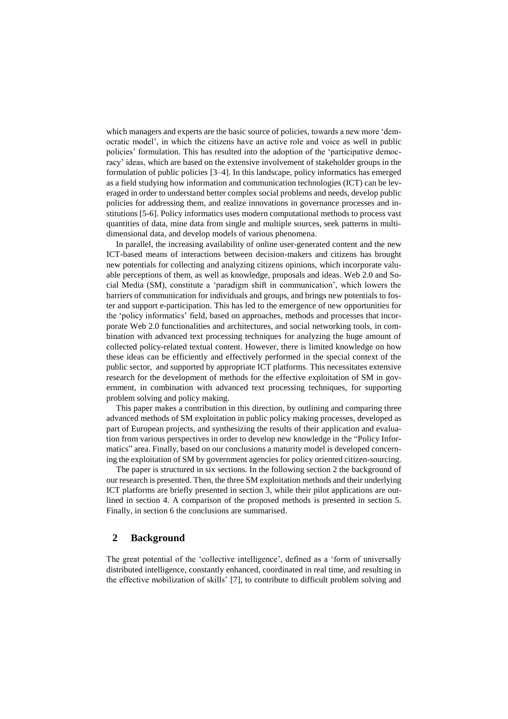which managers and experts are the basic source of policies, towards a new more 'democratic model', in which the citizens have an active role and voice as well in public policies' formulation. This has resulted into the adoption of the 'participative democracy' ideas, which are based on the extensive involvement of stakeholder groups in the formulation of public policies [3–4]. In this landscape, policy informatics has emerged as a field studying how information and communication technologies (ICT) can be leveraged in order to understand better complex social problems and needs, develop public policies for addressing them, and realize innovations in governance processes and institutions [5-6]. Policy informatics uses modern computational methods to process vast quantities of data, mine data from single and multiple sources, seek patterns in multidimensional data, and develop models of various phenomena.

In parallel, the increasing availability of online user-generated content and the new ICT-based means of interactions between decision-makers and citizens has brought new potentials for collecting and analyzing citizens opinions, which incorporate valuable perceptions of them, as well as knowledge, proposals and ideas. Web 2.0 and Social Media (SM), constitute a 'paradigm shift in communication', which lowers the barriers of communication for individuals and groups, and brings new potentials to foster and support e-participation. This has led to the emergence of new opportunities for the 'policy informatics' field, based on approaches, methods and processes that incorporate Web 2.0 functionalities and architectures, and social networking tools, in combination with advanced text processing techniques for analyzing the huge amount of collected policy-related textual content. However, there is limited knowledge on how these ideas can be efficiently and effectively performed in the special context of the public sector, and supported by appropriate ICT platforms. This necessitates extensive research for the development of methods for the effective exploitation of SM in government, in combination with advanced text processing techniques, for supporting problem solving and policy making.

This paper makes a contribution in this direction, by outlining and comparing three advanced methods of SM exploitation in public policy making processes, developed as part of European projects, and synthesizing the results of their application and evaluation from various perspectives in order to develop new knowledge in the "Policy Informatics" area. Finally, based on our conclusions a maturity model is developed concerning the exploitation of SM by government agencies for policy oriented citizen-sourcing.

The paper is structured in six sections. In the following section 2 the background of our research is presented. Then, the three SM exploitation methods and their underlying ICT platforms are briefly presented in section 3, while their pilot applications are outlined in section 4. A comparison of the proposed methods is presented in section 5. Finally, in section 6 the conclusions are summarised.

## **2 Background**

The great potential of the 'collective intelligence', defined as a 'form of universally distributed intelligence, constantly enhanced, coordinated in real time, and resulting in the effective mobilization of skills' [7], to contribute to difficult problem solving and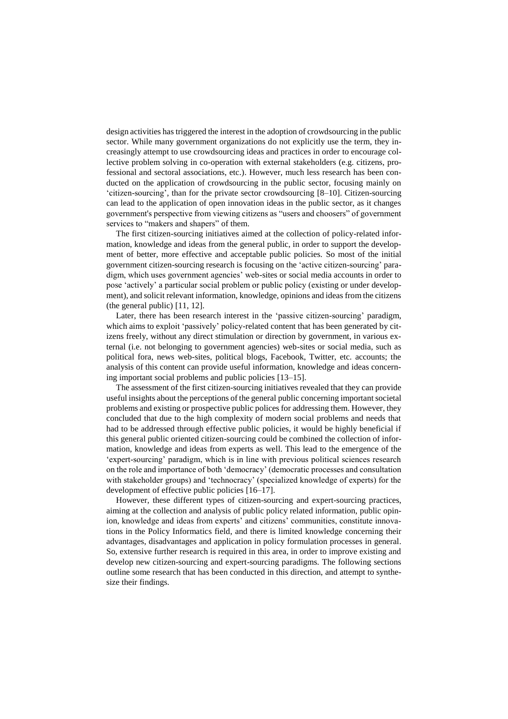design activities has triggered the interest in the adoption of crowdsourcing in the public sector. While many government organizations do not explicitly use the term, they increasingly attempt to use crowdsourcing ideas and practices in order to encourage collective problem solving in co-operation with external stakeholders (e.g. citizens, professional and sectoral associations, etc.). However, much less research has been conducted on the application of crowdsourcing in the public sector, focusing mainly on 'citizen-sourcing', than for the private sector crowdsourcing [8–10]. Citizen-sourcing can lead to the application of open innovation ideas in the public sector, as it changes government's perspective from viewing citizens as "users and choosers" of government services to "makers and shapers" of them.

The first citizen-sourcing initiatives aimed at the collection of policy-related information, knowledge and ideas from the general public, in order to support the development of better, more effective and acceptable public policies. So most of the initial government citizen-sourcing research is focusing on the 'active citizen-sourcing' paradigm, which uses government agencies' web-sites or social media accounts in order to pose 'actively' a particular social problem or public policy (existing or under development), and solicit relevant information, knowledge, opinions and ideas from the citizens (the general public) [11, 12].

Later, there has been research interest in the 'passive citizen-sourcing' paradigm, which aims to exploit 'passively' policy-related content that has been generated by citizens freely, without any direct stimulation or direction by government, in various external (i.e. not belonging to government agencies) web-sites or social media, such as political fora, news web-sites, political blogs, Facebook, Twitter, etc. accounts; the analysis of this content can provide useful information, knowledge and ideas concerning important social problems and public policies [13–15].

The assessment of the first citizen-sourcing initiatives revealed that they can provide useful insights about the perceptions of the general public concerning important societal problems and existing or prospective public polices for addressing them. However, they concluded that due to the high complexity of modern social problems and needs that had to be addressed through effective public policies, it would be highly beneficial if this general public oriented citizen-sourcing could be combined the collection of information, knowledge and ideas from experts as well. This lead to the emergence of the 'expert-sourcing' paradigm, which is in line with previous political sciences research on the role and importance of both 'democracy' (democratic processes and consultation with stakeholder groups) and 'technocracy' (specialized knowledge of experts) for the development of effective public policies [16–17].

However, these different types of citizen-sourcing and expert-sourcing practices, aiming at the collection and analysis of public policy related information, public opinion, knowledge and ideas from experts' and citizens' communities, constitute innovations in the Policy Informatics field, and there is limited knowledge concerning their advantages, disadvantages and application in policy formulation processes in general. So, extensive further research is required in this area, in order to improve existing and develop new citizen-sourcing and expert-sourcing paradigms. The following sections outline some research that has been conducted in this direction, and attempt to synthesize their findings.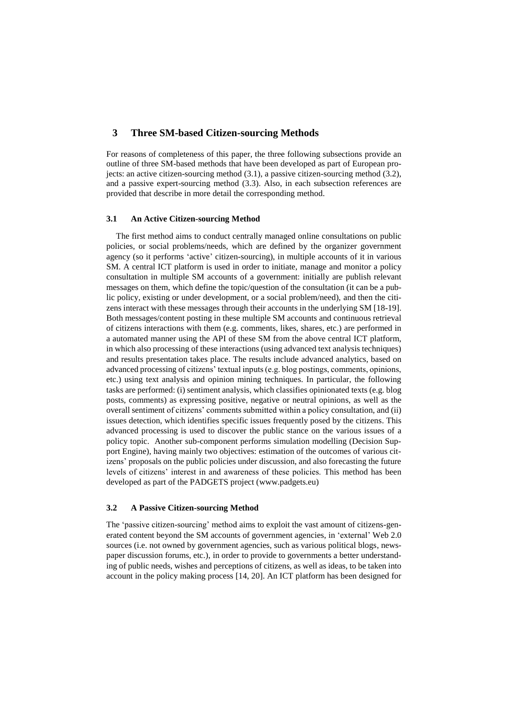### **3 Three SM-based Citizen-sourcing Methods**

For reasons of completeness of this paper, the three following subsections provide an outline of three SM-based methods that have been developed as part of European projects: an active citizen-sourcing method (3.1), a passive citizen-sourcing method (3.2), and a passive expert-sourcing method (3.3). Also, in each subsection references are provided that describe in more detail the corresponding method.

### **3.1 An Active Citizen-sourcing Method**

The first method aims to conduct centrally managed online consultations on public policies, or social problems/needs, which are defined by the organizer government agency (so it performs 'active' citizen-sourcing), in multiple accounts of it in various SM. A central ICT platform is used in order to initiate, manage and monitor a policy consultation in multiple SM accounts of a government: initially are publish relevant messages on them, which define the topic/question of the consultation (it can be a public policy, existing or under development, or a social problem/need), and then the citizens interact with these messages through their accounts in the underlying SM [18-19]. Both messages/content posting in these multiple SM accounts and continuous retrieval of citizens interactions with them (e.g. comments, likes, shares, etc.) are performed in a automated manner using the API of these SM from the above central ICT platform, in which also processing of these interactions (using advanced text analysis techniques) and results presentation takes place. The results include advanced analytics, based on advanced processing of citizens' textual inputs (e.g. blog postings, comments, opinions, etc.) using text analysis and opinion mining techniques. In particular, the following tasks are performed: (i) sentiment analysis, which classifies opinionated texts (e.g. blog posts, comments) as expressing positive, negative or neutral opinions, as well as the overall sentiment of citizens' comments submitted within a policy consultation, and (ii) issues detection, which identifies specific issues frequently posed by the citizens. This advanced processing is used to discover the public stance on the various issues of a policy topic. Another sub-component performs simulation modelling (Decision Support Engine), having mainly two objectives: estimation of the outcomes of various citizens' proposals on the public policies under discussion, and also forecasting the future levels of citizens' interest in and awareness of these policies. This method has been developed as part of the PADGETS project (www.padgets.eu)

#### **3.2 A Passive Citizen-sourcing Method**

The 'passive citizen-sourcing' method aims to exploit the vast amount of citizens-generated content beyond the SM accounts of government agencies, in 'external' Web 2.0 sources (i.e. not owned by government agencies, such as various political blogs, newspaper discussion forums, etc.), in order to provide to governments a better understanding of public needs, wishes and perceptions of citizens, as well as ideas, to be taken into account in the policy making process [14, 20]. An ICT platform has been designed for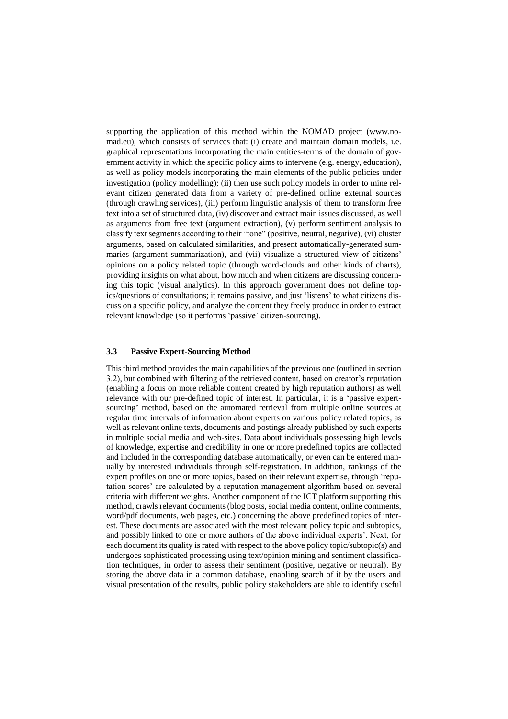supporting the application of this method within the NOMAD project (www.nomad.eu), which consists of services that: (i) create and maintain domain models, i.e. graphical representations incorporating the main entities-terms of the domain of government activity in which the specific policy aims to intervene (e.g. energy, education), as well as policy models incorporating the main elements of the public policies under investigation (policy modelling); (ii) then use such policy models in order to mine relevant citizen generated data from a variety of pre-defined online external sources (through crawling services), (iii) perform linguistic analysis of them to transform free text into a set of structured data, (iv) discover and extract main issues discussed, as well as arguments from free text (argument extraction), (v) perform sentiment analysis to classify text segments according to their "tone" (positive, neutral, negative), (vi) cluster arguments, based on calculated similarities, and present automatically-generated summaries (argument summarization), and (vii) visualize a structured view of citizens' opinions on a policy related topic (through word-clouds and other kinds of charts), providing insights on what about, how much and when citizens are discussing concerning this topic (visual analytics). In this approach government does not define topics/questions of consultations; it remains passive, and just 'listens' to what citizens discuss on a specific policy, and analyze the content they freely produce in order to extract relevant knowledge (so it performs 'passive' citizen-sourcing).

#### **3.3 Passive Expert-Sourcing Method**

This third method provides the main capabilities of the previous one (outlined in section 3.2), but combined with filtering of the retrieved content, based on creator's reputation (enabling a focus on more reliable content created by high reputation authors) as well relevance with our pre-defined topic of interest. In particular, it is a 'passive expertsourcing' method, based on the automated retrieval from multiple online sources at regular time intervals of information about experts on various policy related topics, as well as relevant online texts, documents and postings already published by such experts in multiple social media and web-sites. Data about individuals possessing high levels of knowledge, expertise and credibility in one or more predefined topics are collected and included in the corresponding database automatically, or even can be entered manually by interested individuals through self-registration. In addition, rankings of the expert profiles on one or more topics, based on their relevant expertise, through 'reputation scores' are calculated by a reputation management algorithm based on several criteria with different weights. Another component of the ICT platform supporting this method, crawls relevant documents(blog posts, social media content, online comments, word/pdf documents, web pages, etc.) concerning the above predefined topics of interest. These documents are associated with the most relevant policy topic and subtopics, and possibly linked to one or more authors of the above individual experts'. Next, for each document its quality is rated with respect to the above policy topic/subtopic(s) and undergoes sophisticated processing using text/opinion mining and sentiment classification techniques, in order to assess their sentiment (positive, negative or neutral). By storing the above data in a common database, enabling search of it by the users and visual presentation of the results, public policy stakeholders are able to identify useful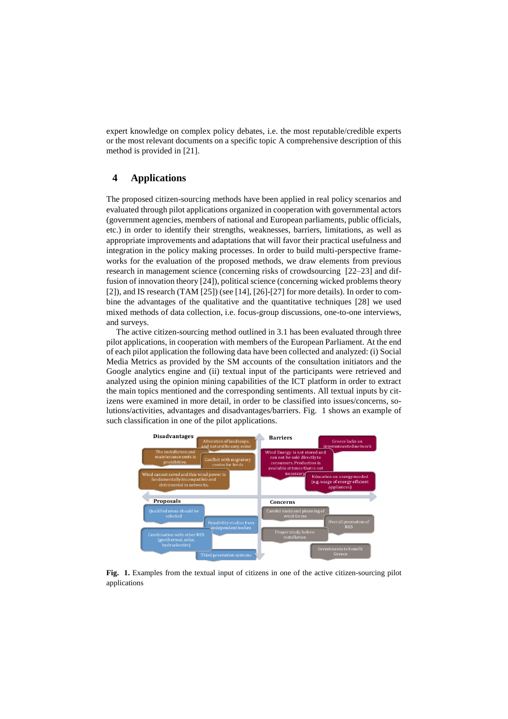expert knowledge on complex policy debates, i.e. the most reputable/credible experts or the most relevant documents on a specific topic A comprehensive description of this method is provided in [21].

## **4 Applications**

The proposed citizen-sourcing methods have been applied in real policy scenarios and evaluated through pilot applications organized in cooperation with governmental actors (government agencies, members of national and European parliaments, public officials, etc.) in order to identify their strengths, weaknesses, barriers, limitations, as well as appropriate improvements and adaptations that will favor their practical usefulness and integration in the policy making processes. In order to build multi-perspective frameworks for the evaluation of the proposed methods, we draw elements from previous research in management science (concerning risks of crowdsourcing [22–23] and diffusion of innovation theory [24]), political science (concerning wicked problems theory [2]), and IS research (TAM [25]) (see [14], [26]-[27] for more details). In order to combine the advantages of the qualitative and the quantitative techniques [28] we used mixed methods of data collection, i.e. focus-group discussions, one-to-one interviews, and surveys.

The active citizen-sourcing method outlined in 3.1 has been evaluated through three pilot applications, in cooperation with members of the European Parliament. At the end of each pilot application the following data have been collected and analyzed: (i) Social Media Metrics as provided by the SM accounts of the consultation initiators and the Google analytics engine and (ii) textual input of the participants were retrieved and analyzed using the opinion mining capabilities of the ICT platform in order to extract the main topics mentioned and the corresponding sentiments. All textual inputs by citizens were examined in more detail, in order to be classified into issues/concerns, solutions/activities, advantages and disadvantages/barriers. [Fig. 1](#page-5-0) shows an example of such classification in one of the pilot applications.



<span id="page-5-0"></span>Fig. 1. Examples from the textual input of citizens in one of the active citizen-sourcing pilot applications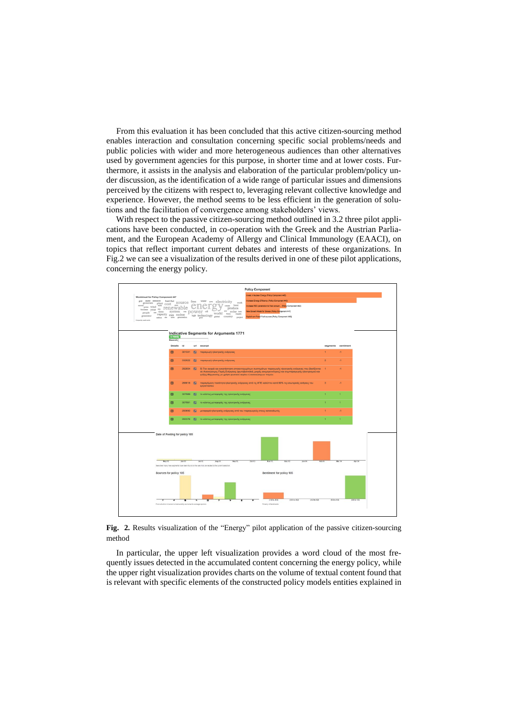From this evaluation it has been concluded that this active citizen-sourcing method enables interaction and consultation concerning specific social problems/needs and public policies with wider and more heterogeneous audiences than other alternatives used by government agencies for this purpose, in shorter time and at lower costs. Furthermore, it assists in the analysis and elaboration of the particular problem/policy under discussion, as the identification of a wide range of particular issues and dimensions perceived by the citizens with respect to, leveraging relevant collective knowledge and experience. However, the method seems to be less efficient in the generation of solutions and the facilitation of convergence among stakeholders' views.

With respect to the passive citizen-sourcing method outlined in 3.2 three pilot applications have been conducted, in co-operation with the Greek and the Austrian Parliament, and the European Academy of Allergy and Clinical Immunology (EAACI), on topics that reflect important current debates and interests of these organizations. In Fig.2 we can see a visualization of the results derived in one of these pilot applications, concerning the energy policy.



**Fig. 2.** Results visualization of the "Energy" pilot application of the passive citizen-sourcing method

In particular, the upper left visualization provides a word cloud of the most frequently issues detected in the accumulated content concerning the energy policy, while the upper right visualization provides charts on the volume of textual content found that is relevant with specific elements of the constructed policy models entities explained in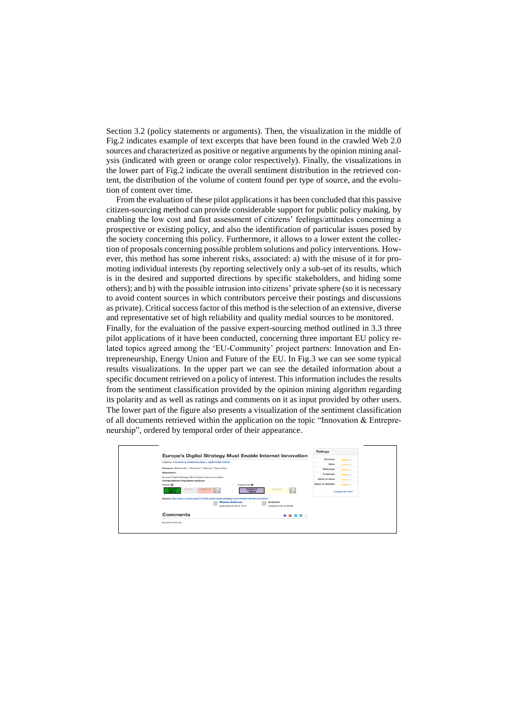Section 3.2 (policy statements or arguments). Then, the visualization in the middle of Fig.2 indicates example of text excerpts that have been found in the crawled Web 2.0 sources and characterized as positive or negative arguments by the opinion mining analysis (indicated with green or orange color respectively). Finally, the visualizations in the lower part of Fig.2 indicate the overall sentiment distribution in the retrieved content, the distribution of the volume of content found per type of source, and the evolution of content over time.

From the evaluation of these pilot applications it has been concluded that this passive citizen-sourcing method can provide considerable support for public policy making, by enabling the low cost and fast assessment of citizens' feelings/attitudes concerning a prospective or existing policy, and also the identification of particular issues posed by the society concerning this policy. Furthermore, it allows to a lower extent the collection of proposals concerning possible problem solutions and policy interventions. However, this method has some inherent risks, associated: a) with the misuse of it for promoting individual interests (by reporting selectively only a sub-set of its results, which is in the desired and supported directions by specific stakeholders, and hiding some others); and b) with the possible intrusion into citizens' private sphere (so it is necessary to avoid content sources in which contributors perceive their postings and discussions as private). Critical success factor of this method is the selection of an extensive, diverse and representative set of high reliability and quality medial sources to be monitored. Finally, for the evaluation of the passive expert-sourcing method outlined in 3.3 three

pilot applications of it have been conducted, concerning three important EU policy related topics agreed among the 'EU-Community' project partners: Innovation and Entrepreneurship, Energy Union and Future of the EU. In Fig.3 we can see some typical results visualizations. In the upper part we can see the detailed information about a specific document retrieved on a policy of interest. This information includes the results from the sentiment classification provided by the opinion mining algorithm regarding its polarity and as well as ratings and comments on it as input provided by other users. The lower part of the figure also presents a visualization of the sentiment classification of all documents retrieved within the application on the topic "Innovation & Entrepreneurship", ordered by temporal order of their appearance.

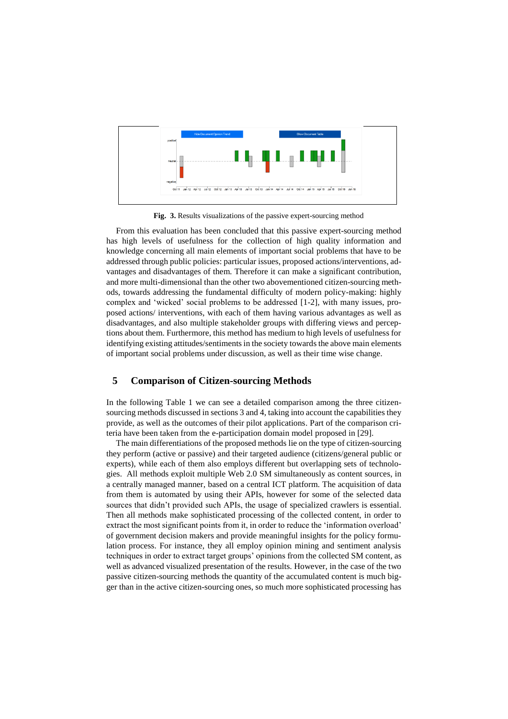

**Fig. 3.** Results visualizations of the passive expert-sourcing method

From this evaluation has been concluded that this passive expert-sourcing method has high levels of usefulness for the collection of high quality information and knowledge concerning all main elements of important social problems that have to be addressed through public policies: particular issues, proposed actions/interventions, advantages and disadvantages of them. Therefore it can make a significant contribution, and more multi-dimensional than the other two abovementioned citizen-sourcing methods, towards addressing the fundamental difficulty of modern policy-making: highly complex and 'wicked' social problems to be addressed [1-2], with many issues, proposed actions/ interventions, with each of them having various advantages as well as disadvantages, and also multiple stakeholder groups with differing views and perceptions about them. Furthermore, this method has medium to high levels of usefulness for identifying existing attitudes/sentiments in the society towards the above main elements of important social problems under discussion, as well as their time wise change.

## **5 Comparison of Citizen-sourcing Methods**

In the following Table 1 we can see a detailed comparison among the three citizensourcing methods discussed in sections 3 and 4, taking into account the capabilities they provide, as well as the outcomes of their pilot applications. Part of the comparison criteria have been taken from the e-participation domain model proposed in [29].

The main differentiations of the proposed methods lie on the type of citizen-sourcing they perform (active or passive) and their targeted audience (citizens/general public or experts), while each of them also employs different but overlapping sets of technologies. All methods exploit multiple Web 2.0 SM simultaneously as content sources, in a centrally managed manner, based on a central ICT platform. The acquisition of data from them is automated by using their APIs, however for some of the selected data sources that didn't provided such APIs, the usage of specialized crawlers is essential. Then all methods make sophisticated processing of the collected content, in order to extract the most significant points from it, in order to reduce the 'information overload' of government decision makers and provide meaningful insights for the policy formulation process. For instance, they all employ opinion mining and sentiment analysis techniques in order to extract target groups' opinions from the collected SM content, as well as advanced visualized presentation of the results. However, in the case of the two passive citizen-sourcing methods the quantity of the accumulated content is much bigger than in the active citizen-sourcing ones, so much more sophisticated processing has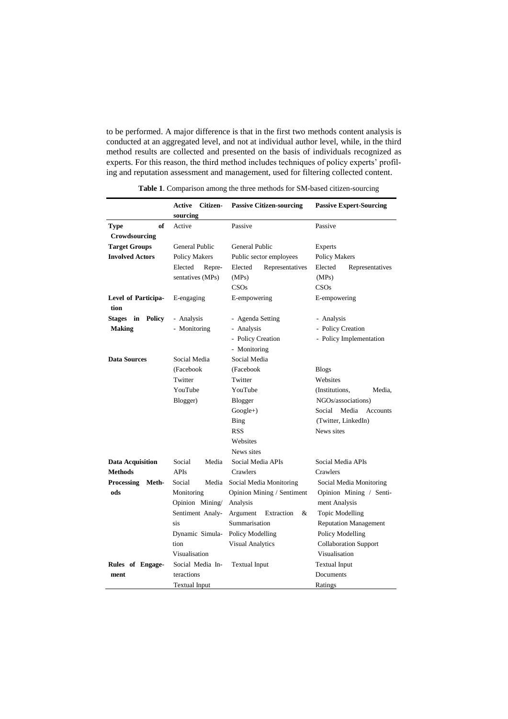to be performed. A major difference is that in the first two methods content analysis is conducted at an aggregated level, and not at individual author level, while, in the third method results are collected and presented on the basis of individuals recognized as experts. For this reason, the third method includes techniques of policy experts' profiling and reputation assessment and management, used for filtering collected content.

|                               | Active<br>Citizen-    | <b>Passive Citizen-sourcing</b> | <b>Passive Expert-Sourcing</b> |
|-------------------------------|-----------------------|---------------------------------|--------------------------------|
| of<br>Type                    | sourcing<br>Active    | Passive                         | Passive                        |
| Crowdsourcing                 |                       |                                 |                                |
| <b>Target Groups</b>          | <b>General Public</b> | <b>General Public</b>           | <b>Experts</b>                 |
| <b>Involved Actors</b>        | Policy Makers         | Public sector employees         | Policy Makers                  |
|                               | Elected<br>Repre-     | Elected<br>Representatives      | Elected<br>Representatives     |
|                               | sentatives (MPs)      | (MPs)                           | (MPs)                          |
|                               |                       | CSOs                            | CSOs                           |
| Level of Participa-<br>tion   | E-engaging            | E-empowering                    | E-empowering                   |
| in<br><b>Stages</b><br>Policy | - Analysis            | - Agenda Setting                | - Analysis                     |
| <b>Making</b>                 | - Monitoring          | - Analysis                      | - Policy Creation              |
|                               |                       | - Policy Creation               | - Policy Implementation        |
|                               |                       | - Monitoring                    |                                |
| <b>Data Sources</b>           | Social Media          | Social Media                    |                                |
|                               | (Facebook             | (Facebook                       | <b>Blogs</b>                   |
|                               | Twitter               | Twitter                         | Websites                       |
|                               | YouTube               | YouTube                         | (Institutions,<br>Media,       |
|                               | Blogger)              | <b>Blogger</b>                  | NGOs/associations)             |
|                               |                       | $Google+)$                      | Social<br>Media<br>Accounts    |
|                               |                       | Bing                            | (Twitter, LinkedIn)            |
|                               |                       | <b>RSS</b>                      | News sites                     |
|                               |                       | Websites                        |                                |
|                               |                       | News sites                      |                                |
| <b>Data Acquisition</b>       | Social<br>Media       | Social Media APIs               | Social Media APIs              |
| <b>Methods</b>                | <b>APIs</b>           | Crawlers                        | Crawlers                       |
| <b>Processing</b><br>Meth-    | Social<br>Media       | Social Media Monitoring         | Social Media Monitoring        |
| ods                           | Monitoring            | Opinion Mining / Sentiment      | Opinion Mining / Senti-        |
|                               | Opinion Mining/       | Analysis                        | ment Analysis                  |
|                               | Sentiment Analy-      | Argument<br>Extraction<br>&     | <b>Topic Modelling</b>         |
|                               | sis                   | Summarisation                   | <b>Reputation Management</b>   |
|                               | Dynamic Simula-       | Policy Modelling                | <b>Policy Modelling</b>        |
|                               | tion                  | <b>Visual Analytics</b>         | <b>Collaboration Support</b>   |
|                               | Visualisation         |                                 | Visualisation                  |
| Rules of Engage-              | Social Media In-      | <b>Textual Input</b>            | <b>Textual Input</b>           |
| ment                          | teractions            |                                 | Documents                      |
|                               | <b>Textual Input</b>  |                                 | Ratings                        |

**Table 1**. Comparison among the three methods for SM-based citizen-sourcing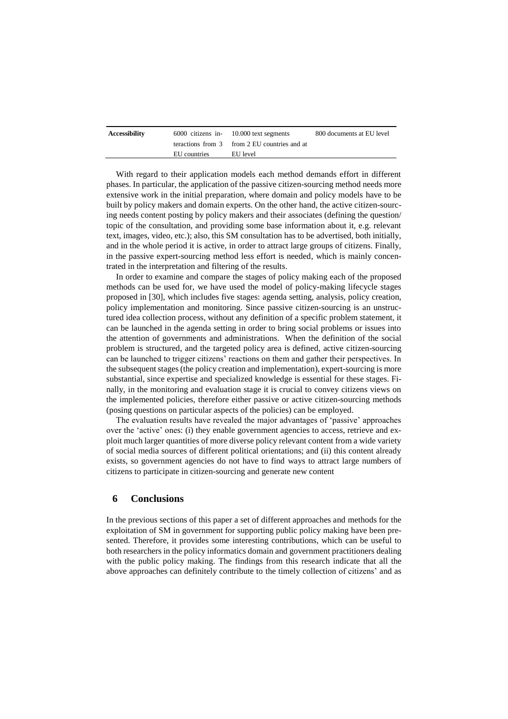| <b>Accessibility</b> |              | 6000 citizens in-<br>10.000 text segments    | 800 documents at EU level |
|----------------------|--------------|----------------------------------------------|---------------------------|
|                      |              | teractions from 3 from 2 EU countries and at |                           |
|                      | EU countries | EU level                                     |                           |

With regard to their application models each method demands effort in different phases. In particular, the application of the passive citizen-sourcing method needs more extensive work in the initial preparation, where domain and policy models have to be built by policy makers and domain experts. On the other hand, the active citizen-sourcing needs content posting by policy makers and their associates (defining the question/ topic of the consultation, and providing some base information about it, e.g. relevant text, images, video, etc.); also, this SM consultation has to be advertised, both initially, and in the whole period it is active, in order to attract large groups of citizens. Finally, in the passive expert-sourcing method less effort is needed, which is mainly concentrated in the interpretation and filtering of the results.

In order to examine and compare the stages of policy making each of the proposed methods can be used for, we have used the model of policy-making lifecycle stages proposed in [30], which includes five stages: agenda setting, analysis, policy creation, policy implementation and monitoring. Since passive citizen-sourcing is an unstructured idea collection process, without any definition of a specific problem statement, it can be launched in the agenda setting in order to bring social problems or issues into the attention of governments and administrations. When the definition of the social problem is structured, and the targeted policy area is defined, active citizen-sourcing can be launched to trigger citizens' reactions on them and gather their perspectives. In the subsequent stages (the policy creation and implementation), expert-sourcing is more substantial, since expertise and specialized knowledge is essential for these stages. Finally, in the monitoring and evaluation stage it is crucial to convey citizens views on the implemented policies, therefore either passive or active citizen-sourcing methods (posing questions on particular aspects of the policies) can be employed.

The evaluation results have revealed the major advantages of 'passive' approaches over the 'active' ones: (i) they enable government agencies to access, retrieve and exploit much larger quantities of more diverse policy relevant content from a wide variety of social media sources of different political orientations; and (ii) this content already exists, so government agencies do not have to find ways to attract large numbers of citizens to participate in citizen-sourcing and generate new content

## **6 Conclusions**

In the previous sections of this paper a set of different approaches and methods for the exploitation of SM in government for supporting public policy making have been presented. Therefore, it provides some interesting contributions, which can be useful to both researchers in the policy informatics domain and government practitioners dealing with the public policy making. The findings from this research indicate that all the above approaches can definitely contribute to the timely collection of citizens' and as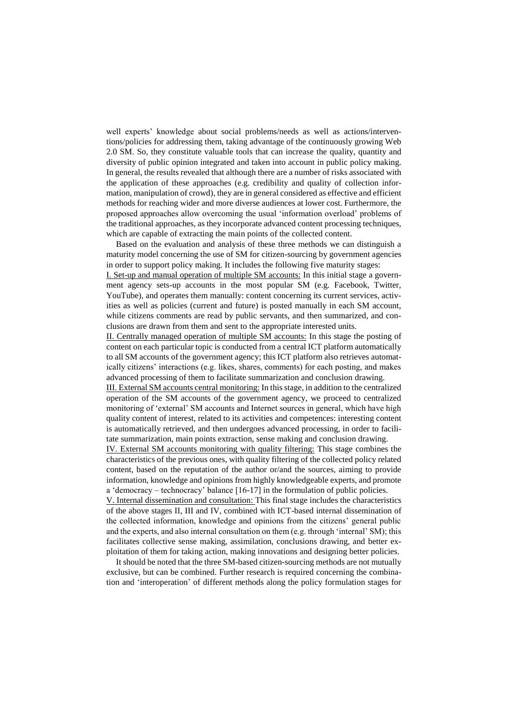well experts' knowledge about social problems/needs as well as actions/interventions/policies for addressing them, taking advantage of the continuously growing Web 2.0 SM. So, they constitute valuable tools that can increase the quality, quantity and diversity of public opinion integrated and taken into account in public policy making. In general, the results revealed that although there are a number of risks associated with the application of these approaches (e.g. credibility and quality of collection information, manipulation of crowd), they are in general considered as effective and efficient methods for reaching wider and more diverse audiences at lower cost. Furthermore, the proposed approaches allow overcoming the usual 'information overload' problems of the traditional approaches, as they incorporate advanced content processing techniques, which are capable of extracting the main points of the collected content.

Based on the evaluation and analysis of these three methods we can distinguish a maturity model concerning the use of SM for citizen-sourcing by government agencies in order to support policy making. It includes the following five maturity stages:

I. Set-up and manual operation of multiple SM accounts: In this initial stage a government agency sets-up accounts in the most popular SM (e.g. Facebook, Twitter, YouTube), and operates them manually: content concerning its current services, activities as well as policies (current and future) is posted manually in each SM account, while citizens comments are read by public servants, and then summarized, and conclusions are drawn from them and sent to the appropriate interested units.

II. Centrally managed operation of multiple SM accounts: In this stage the posting of content on each particular topic is conducted from a central ICT platform automatically to all SM accounts of the government agency; this ICT platform also retrieves automatically citizens' interactions (e.g. likes, shares, comments) for each posting, and makes advanced processing of them to facilitate summarization and conclusion drawing.

III. External SM accounts central monitoring: In this stage, in addition to the centralized operation of the SM accounts of the government agency, we proceed to centralized monitoring of 'external' SM accounts and Internet sources in general, which have high quality content of interest, related to its activities and competences: interesting content is automatically retrieved, and then undergoes advanced processing, in order to facilitate summarization, main points extraction, sense making and conclusion drawing.

IV. External SM accounts monitoring with quality filtering: This stage combines the characteristics of the previous ones, with quality filtering of the collected policy related content, based on the reputation of the author or/and the sources, aiming to provide information, knowledge and opinions from highly knowledgeable experts, and promote a 'democracy – technocracy' balance [16-17] in the formulation of public policies.

V. Internal dissemination and consultation: This final stage includes the characteristics of the above stages II, III and IV, combined with ICT-based internal dissemination of the collected information, knowledge and opinions from the citizens' general public and the experts, and also internal consultation on them (e.g. through 'internal' SM); this facilitates collective sense making, assimilation, conclusions drawing, and better exploitation of them for taking action, making innovations and designing better policies.

It should be noted that the three SM-based citizen-sourcing methods are not mutually exclusive, but can be combined. Further research is required concerning the combination and 'interoperation' of different methods along the policy formulation stages for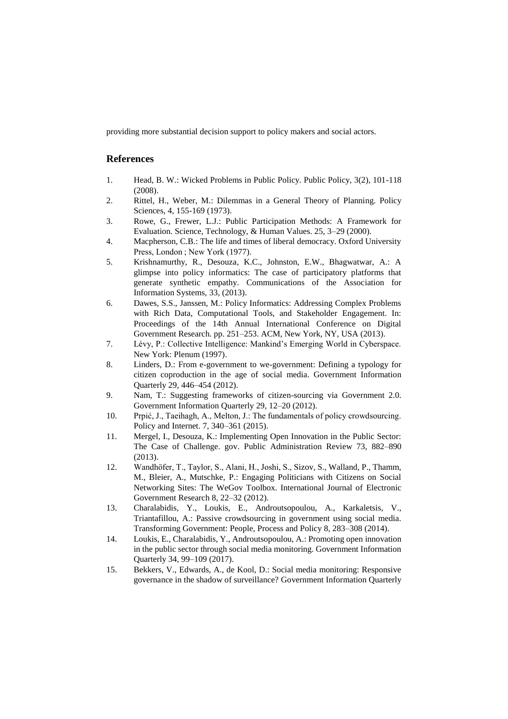providing more substantial decision support to policy makers and social actors.

## **References**

- 1. Head, B. W.: Wicked Problems in Public Policy. Public Policy, 3(2), 101-118 (2008).
- 2. Rittel, H., Weber, M.: Dilemmas in a General Theory of Planning. Policy Sciences, 4, 155-169 (1973).
- 3. Rowe, G., Frewer, L.J.: Public Participation Methods: A Framework for Evaluation. Science, Technology, & Human Values. 25, 3–29 (2000).
- 4. Macpherson, C.B.: The life and times of liberal democracy. Oxford University Press, London ; New York (1977).
- 5. Krishnamurthy, R., Desouza, K.C., Johnston, E.W., Bhagwatwar, A.: A glimpse into policy informatics: The case of participatory platforms that generate synthetic empathy. Communications of the Association for Information Systems, 33, (2013).
- 6. Dawes, S.S., Janssen, M.: Policy Informatics: Addressing Complex Problems with Rich Data, Computational Tools, and Stakeholder Engagement. In: Proceedings of the 14th Annual International Conference on Digital Government Research. pp. 251–253. ACM, New York, NY, USA (2013).
- 7. Lévy, P.: Collective Intelligence: Mankind's Emerging World in Cyberspace. New York: Plenum (1997).
- 8. Linders, D.: From e-government to we-government: Defining a typology for citizen coproduction in the age of social media. Government Information Quarterly 29, 446–454 (2012).
- 9. Nam, T.: Suggesting frameworks of citizen-sourcing via Government 2.0. Government Information Quarterly 29, 12–20 (2012).
- 10. Prpić, J., Taeihagh, A., Melton, J.: The fundamentals of policy crowdsourcing. Policy and Internet. 7, 340–361 (2015).
- 11. Mergel, I., Desouza, K.: Implementing Open Innovation in the Public Sector: The Case of Challenge. gov. Public Administration Review 73, 882–890 (2013).
- 12. Wandhöfer, T., Taylor, S., Alani, H., Joshi, S., Sizov, S., Walland, P., Thamm, M., Bleier, A., Mutschke, P.: Engaging Politicians with Citizens on Social Networking Sites: The WeGov Toolbox. International Journal of Electronic Government Research 8, 22–32 (2012).
- 13. Charalabidis, Y., Loukis, E., Androutsopoulou, A., Karkaletsis, V., Triantafillou, A.: Passive crowdsourcing in government using social media. Transforming Government: People, Process and Policy 8, 283–308 (2014).
- 14. Loukis, E., Charalabidis, Y., Androutsopoulou, A.: Promoting open innovation in the public sector through social media monitoring. Government Information Quarterly 34, 99–109 (2017).
- 15. Bekkers, V., Edwards, A., de Kool, D.: Social media monitoring: Responsive governance in the shadow of surveillance? Government Information Quarterly